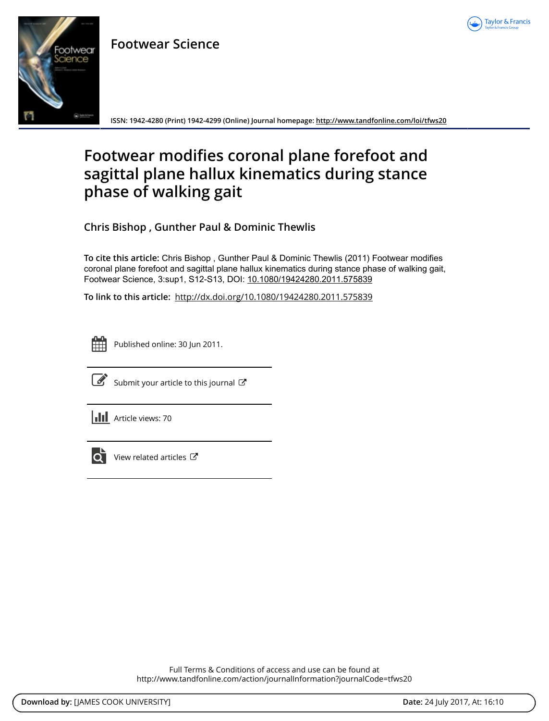

# **Footwear Science**



**ISSN: 1942-4280 (Print) 1942-4299 (Online) Journal homepage:<http://www.tandfonline.com/loi/tfws20>**

# **Footwear modifies coronal plane forefoot and sagittal plane hallux kinematics during stance phase of walking gait**

**Chris Bishop , Gunther Paul & Dominic Thewlis**

**To cite this article:** Chris Bishop , Gunther Paul & Dominic Thewlis (2011) Footwear modifies coronal plane forefoot and sagittal plane hallux kinematics during stance phase of walking gait, Footwear Science, 3:sup1, S12-S13, DOI: [10.1080/19424280.2011.575839](http://www.tandfonline.com/action/showCitFormats?doi=10.1080/19424280.2011.575839)

**To link to this article:** <http://dx.doi.org/10.1080/19424280.2011.575839>



Published online: 30 Jun 2011.



 $\overrightarrow{S}$  [Submit your article to this journal](http://www.tandfonline.com/action/authorSubmission?journalCode=tfws20&show=instructions)  $\overrightarrow{S}$ 





 $\overline{\mathbf{C}}$  [View related articles](http://www.tandfonline.com/doi/mlt/10.1080/19424280.2011.575839)  $\mathbf{C}$ 

Full Terms & Conditions of access and use can be found at <http://www.tandfonline.com/action/journalInformation?journalCode=tfws20>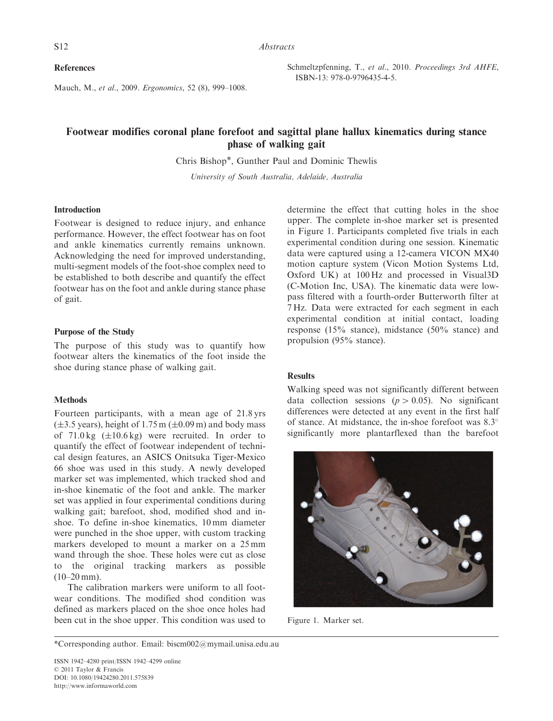References

Mauch, M., et al., 2009. Ergonomics, 52 (8), 999–1008.

Schmeltzpfenning, T., et al., 2010. Proceedings 3rd AHFE, ISBN-13: 978-0-9796435-4-5.

# Footwear modifies coronal plane forefoot and sagittal plane hallux kinematics during stance phase of walking gait

Chris Bishop\*, Gunther Paul and Dominic Thewlis

University of South Australia, Adelaide, Australia

### Introduction

Footwear is designed to reduce injury, and enhance performance. However, the effect footwear has on foot and ankle kinematics currently remains unknown. Acknowledging the need for improved understanding, multi-segment models of the foot-shoe complex need to be established to both describe and quantify the effect footwear has on the foot and ankle during stance phase of gait.

## Purpose of the Study

The purpose of this study was to quantify how footwear alters the kinematics of the foot inside the shoe during stance phase of walking gait.

#### **Methods**

Fourteen participants, with a mean age of 21.8 yrs  $(\pm 3.5 \text{ years})$ , height of 1.75 m  $(\pm 0.09 \text{ m})$  and body mass of  $71.0 \text{ kg}$  ( $\pm 10.6 \text{ kg}$ ) were recruited. In order to quantify the effect of footwear independent of technical design features, an ASICS Onitsuka Tiger-Mexico 66 shoe was used in this study. A newly developed marker set was implemented, which tracked shod and in-shoe kinematic of the foot and ankle. The marker set was applied in four experimental conditions during walking gait; barefoot, shod, modified shod and inshoe. To define in-shoe kinematics, 10 mm diameter were punched in the shoe upper, with custom tracking markers developed to mount a marker on a 25 mm wand through the shoe. These holes were cut as close to the original tracking markers as possible  $(10-20$  mm).

The calibration markers were uniform to all footwear conditions. The modified shod condition was defined as markers placed on the shoe once holes had been cut in the shoe upper. This condition was used to

determine the effect that cutting holes in the shoe upper. The complete in-shoe marker set is presented in Figure 1. Participants completed five trials in each experimental condition during one session. Kinematic data were captured using a 12-camera VICON MX40 motion capture system (Vicon Motion Systems Ltd, Oxford UK) at 100 Hz and processed in Visual3D (C-Motion Inc, USA). The kinematic data were lowpass filtered with a fourth-order Butterworth filter at 7 Hz. Data were extracted for each segment in each experimental condition at initial contact, loading response (15% stance), midstance (50% stance) and propulsion (95% stance).

#### **Results**

Walking speed was not significantly different between data collection sessions ( $p > 0.05$ ). No significant differences were detected at any event in the first half of stance. At midstance, the in-shoe forefoot was 8.3 significantly more plantarflexed than the barefoot



Figure 1. Marker set.

<sup>\*</sup>Corresponding author. Email: biscm002@mymail.unisa.edu.au